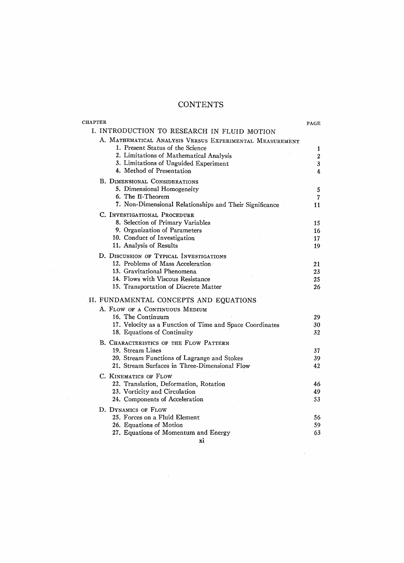## **CONTENTS**

| <b>CHAPTER</b> |                                                                              | PAGE         |
|----------------|------------------------------------------------------------------------------|--------------|
|                | I. INTRODUCTION TO RESEARCH IN FLUID MOTION                                  |              |
|                | A. MATHEMATICAL ANALYSIS VERSUS EXPERIMENTAL MEASUREMENT                     |              |
|                | 1. Present Status of the Science                                             | 1            |
|                | 2. Limitations of Mathematical Analysis                                      | $\mathbf{2}$ |
|                | 3. Limitations of Unguided Experiment                                        | $3^{\circ}$  |
|                | 4. Method of Presentation                                                    | 4            |
|                | <b>B. DIMENSIONAL CONSIDERATIONS</b>                                         |              |
|                | 5. Dimensional Homogeneity                                                   | 5            |
|                | 6. The II-Theorem                                                            | 7            |
|                | 7. Non-Dimensional Relationships and Their Significance                      | 11           |
|                | C. INVESTIGATIONAL PROCEDURE                                                 |              |
|                | 8. Selection of Primary Variables                                            | 15           |
|                | 9. Organization of Parameters                                                | 16           |
|                | 10. Conduct of Investigation                                                 | 17           |
|                | 11. Analysis of Results                                                      | 19           |
|                |                                                                              |              |
|                | D. DISCUSSION OF TYPICAL INVESTIGATIONS<br>12. Problems of Mass Acceleration |              |
|                | 13. Gravitational Phenomena                                                  | 21<br>23     |
|                | 14. Flows with Viscous Resistance                                            | 25           |
|                | 15. Transportation of Discrete Matter                                        | 26           |
|                |                                                                              |              |
|                | II. FUNDAMENTAL CONCEPTS AND EQUATIONS                                       |              |
|                | A. FLOW OF A CONTINUOUS MEDIUM                                               |              |
|                | 16. The Continuum                                                            | 29           |
|                | 17. Velocity as a Function of Time and Space Coordinates                     | 30           |
|                | 18. Equations of Continuity                                                  | 32           |
|                | B. CHARACTERISTICS OF THE FLOW PATTERN                                       |              |
|                | 19. Stream Lines                                                             | 37           |
|                | 20. Stream Functions of Lagrange and Stokes                                  | 39           |
|                | 21. Stream Surfaces in Three-Dimensional Flow                                | 42           |
|                | C. KINEMATICS OF FLOW                                                        |              |
|                | 22. Translation, Deformation, Rotation                                       | 46           |
|                | 23. Vorticity and Circulation                                                | 49           |
|                | 24. Components of Acceleration                                               | 53           |
|                |                                                                              |              |
|                | D. DYNAMICS OF FLOW                                                          |              |
|                | 25. Forces on a Fluid Element                                                | 56           |
|                | 26. Equations of Motion                                                      | 59           |
|                | 27. Equations of Momentum and Energy                                         | 63           |
|                | xi                                                                           |              |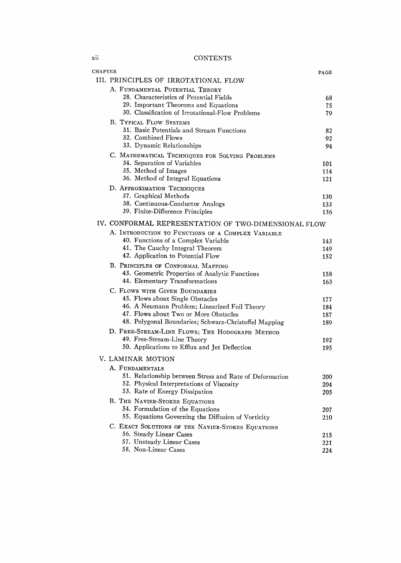**CONTENTS** 

| <b>CHAPTER</b>                                                                                 | PAGE       |
|------------------------------------------------------------------------------------------------|------------|
| III. PRINCIPLES OF IRROTATIONAL FLOW                                                           |            |
| A. FUNDAMENTAL POTENTIAL THEORY                                                                |            |
| 28. Characteristics of Potential Fields                                                        | 68         |
| 29. Important Theorems and Equations                                                           | 75         |
| 30. Classification of Irrotational-Flow Problems                                               | 79         |
| <b>B. TYPICAL FLOW SYSTEMS</b>                                                                 |            |
| 31. Basic Potentials and Stream Functions                                                      | 82         |
| 32. Combined Flows                                                                             | 92         |
| 33. Dynamic Relationships                                                                      | 94         |
| C. MATHEMATICAL TECHNIQUES FOR SOLVING PROBLEMS                                                |            |
| 34. Separation of Variables                                                                    | 101        |
| 35. Method of Images                                                                           | 114        |
| 36. Method of Integral Equations                                                               | 121        |
| D. APPROXIMATION TECHNIQUES<br>37. Graphical Methods                                           |            |
| 38. Continuous-Conductor Analogs                                                               | 130        |
| 39. Finite-Difference Principles                                                               | 133<br>136 |
|                                                                                                |            |
| IV. CONFORMAL REPRESENTATION OF TWO-DIMENSIONAL FLOW                                           |            |
| A. INTRODUCTION TO FUNCTIONS OF A COMPLEX VARIABLE                                             |            |
| 40. Functions of a Complex Variable                                                            | 143        |
| 41. The Cauchy Integral Theorem                                                                | 149        |
| 42. Application to Potential Flow                                                              | 152        |
| B. PRINCIPLES OF CONFORMAL MAPPING                                                             |            |
| 43. Geometric Properties of Analytic Functions                                                 | 158        |
| 44. Elementary Transformations                                                                 | 163        |
| C. FLOWS WITH GIVEN BOUNDARIES                                                                 |            |
| 45. Flows about Single Obstacles                                                               | 177        |
| 46. A Neumann Problem; Linearized Foil Theory                                                  | 184        |
| 47. Flows about Two or More Obstacles<br>48. Polygonal Boundaries; Schwarz-Christoffel Mapping | 187        |
|                                                                                                | 189        |
| D. FREE-STREAM-LINE FLOWS; THE HODOGRAPH METHOD                                                |            |
| 49. Free-Stream-Line Theory                                                                    | 192        |
| 50. Applications to Efflux and Jet Deflection                                                  | 195        |
| V. LAMINAR MOTION                                                                              |            |
| A. FUNDAMENTALS                                                                                |            |
| 51. Relationship between Stress and Rate of Deformation                                        | 200        |
| 52. Physical Interpretations of Viscosity                                                      | 204        |
| 53. Rate of Energy Dissipation                                                                 | 205        |
| B. THE NAVIER-STOKES EQUATIONS                                                                 |            |
| 54. Formulation of the Equations                                                               | 207        |
| 55. Equations Governing the Diffusion of Vorticity                                             | 210        |
| C. EXACT SOLUTIONS OF THE NAVIER-STOKES EQUATIONS                                              |            |
| 56. Steady Linear Cases                                                                        | 215        |
| 57. Unsteady Linear Cases                                                                      | 221        |
| 58. Non-Linear Cases                                                                           | 224        |

 $\rm xii$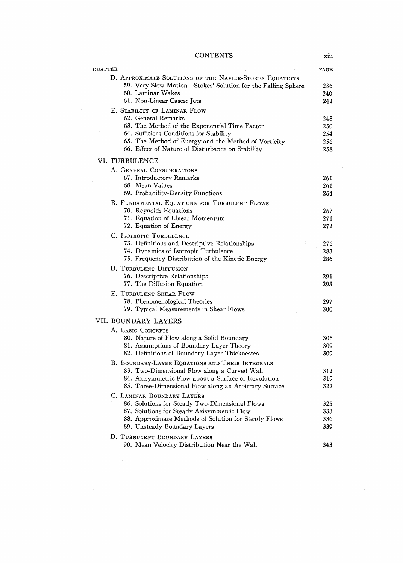$\sf CONTENTS$ 

| <b>CHAPTER</b>                                                                                                                                                             | PAGE              |
|----------------------------------------------------------------------------------------------------------------------------------------------------------------------------|-------------------|
| D. APPROXIMATE SOLUTIONS OF THE NAVIER-STOKES EQUATIONS<br>59. Very Slow Motion-Stokes' Solution for the Falling Sphere<br>60. Laminar Wakes<br>61. Non-Linear Cases: Jets | 236<br>240<br>242 |
| E. STABILITY OF LAMINAR FLOW                                                                                                                                               |                   |
| 62. General Remarks                                                                                                                                                        | 248               |
| 63. The Method of the Exponential Time Factor                                                                                                                              | 250               |
| 64. Sufficient Conditions for Stability                                                                                                                                    | 254               |
| 65. The Method of Energy and the Method of Vorticity                                                                                                                       | 256               |
| 66. Effect of Nature of Disturbance on Stability                                                                                                                           | 258               |
| VI. TURBULENCE                                                                                                                                                             |                   |
| A. GENERAL CONSIDERATIONS                                                                                                                                                  |                   |
| 67. Introductory Remarks                                                                                                                                                   | 261               |
| 68. Mean Values                                                                                                                                                            | 261               |
| 69. Probability-Density Functions                                                                                                                                          | 264               |
| B. FUNDAMENTAL EQUATIONS FOR TURBULENT FLOWS                                                                                                                               |                   |
| 70. Reynolds Equations<br>71. Equation of Linear Momentum                                                                                                                  | 267<br>271        |
| 72. Equation of Energy                                                                                                                                                     | 272               |
| C. ISOTROPIC TURBULENCE                                                                                                                                                    |                   |
| 73. Definitions and Descriptive Relationships                                                                                                                              | 276               |
| 74. Dynamics of Isotropic Turbulence                                                                                                                                       | 283               |
| 75. Frequency Distribution of the Kinetic Energy                                                                                                                           | 286               |
| D. TURBULENT DIFFUSION                                                                                                                                                     |                   |
| 76. Descriptive Relationships                                                                                                                                              | 291               |
| 77. The Diffusion Equation                                                                                                                                                 | 293               |
| E. TURBULENT SHEAR FLOW                                                                                                                                                    |                   |
| 78. Phenomenological Theories                                                                                                                                              | 297               |
| 79. Typical Measurements in Shear Flows                                                                                                                                    | 300               |
| VII. BOUNDARY LAYERS                                                                                                                                                       |                   |
| A. BASIC CONCEPTS                                                                                                                                                          |                   |
| 80. Nature of Flow along a Solid Boundary                                                                                                                                  | 306               |
| 81. Assumptions of Boundary-Layer Theory<br>82. Definitions of Boundary-Layer Thicknesses                                                                                  | 309<br>309        |
|                                                                                                                                                                            |                   |
| B. BOUNDARY-LAYER EQUATIONS AND THEIR INTEGRALS<br>83. Two-Dimensional Flow along a Curved Wall                                                                            | 312               |
| 84. Axisymmetric Flow about a Surface of Revolution                                                                                                                        | 319               |
| 85. Three-Dimensional Flow along an Arbitrary Surface                                                                                                                      | 322               |
| C. LAMINAR BOUNDARY LAYERS                                                                                                                                                 |                   |
| 86. Solutions for Steady Two-Dimensional Flows                                                                                                                             | 325               |
| 87. Solutions for Steady Axisymmetric Flow                                                                                                                                 | 333               |
| 88. Approximate Methods of Solution for Steady Flows                                                                                                                       | 336               |
| 89. Unsteady Boundary Layers                                                                                                                                               | 339               |
| D. TURBULENT BOUNDARY LAYERS                                                                                                                                               |                   |
| 90. Mean Velocity Distribution Near the Wall                                                                                                                               | 343               |

xiii